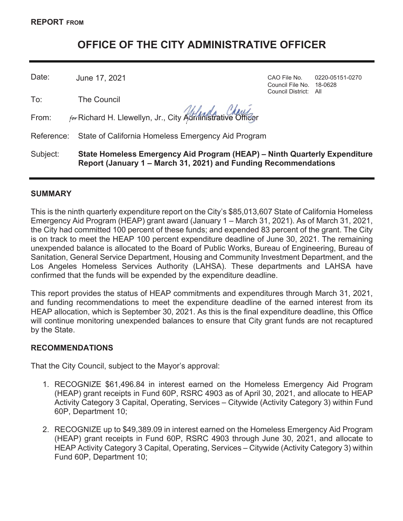# **OFFICE OF THE CITY ADMINISTRATIVE OFFICER**

Date: June 17, 2021 CAO File No. 0220-05151-0270

To: The Council

From:  $f_{\text{or}}$  Richard H. Llewellyn, Jr., City Administrative Officer

Reference: State of California Homeless Emergency Aid Program

Subject: **State Homeless Emergency Aid Program (HEAP) – Ninth Quarterly Expenditure Report (January 1 – March 31, 2021) and Funding Recommendations**

#### **SUMMARY**

This is the ninth quarterly expenditure report on the City's \$85,013,607 State of California Homeless Emergency Aid Program (HEAP) grant award (January 1 – March 31, 2021). As of March 31, 2021, the City had committed 100 percent of these funds; and expended 83 percent of the grant. The City is on track to meet the HEAP 100 percent expenditure deadline of June 30, 2021. The remaining unexpended balance is allocated to the Board of Public Works, Bureau of Engineering, Bureau of Sanitation, General Service Department, Housing and Community Investment Department, and the Los Angeles Homeless Services Authority (LAHSA). These departments and LAHSA have confirmed that the funds will be expended by the expenditure deadline.

This report provides the status of HEAP commitments and expenditures through March 31, 2021, and funding recommendations to meet the expenditure deadline of the earned interest from its HEAP allocation, which is September 30, 2021. As this is the final expenditure deadline, this Office will continue monitoring unexpended balances to ensure that City grant funds are not recaptured by the State.

# **RECOMMENDATIONS**

That the City Council, subject to the Mayor's approval:

- 1. RECOGNIZE \$61,496.84 in interest earned on the Homeless Emergency Aid Program (HEAP) grant receipts in Fund 60P, RSRC 4903 as of April 30, 2021, and allocate to HEAP Activity Category 3 Capital, Operating, Services – Citywide (Activity Category 3) within Fund 60P, Department 10;
- 2. RECOGNIZE up to \$49,389.09 in interest earned on the Homeless Emergency Aid Program (HEAP) grant receipts in Fund 60P, RSRC 4903 through June 30, 2021, and allocate to HEAP Activity Category 3 Capital, Operating, Services – Citywide (Activity Category 3) within Fund 60P, Department 10;

Council File No. 18-0628 Council District: All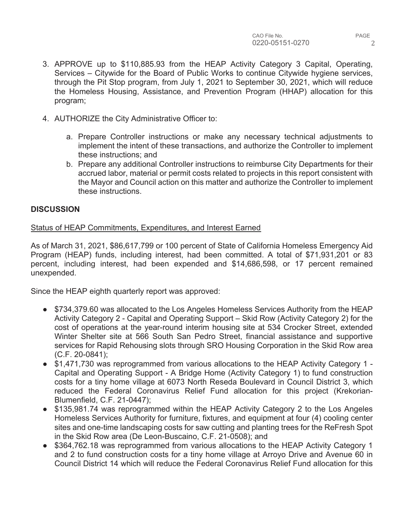- 3. APPROVE up to \$110,885.93 from the HEAP Activity Category 3 Capital, Operating, Services – Citywide for the Board of Public Works to continue Citywide hygiene services, through the Pit Stop program, from July 1, 2021 to September 30, 2021, which will reduce the Homeless Housing, Assistance, and Prevention Program (HHAP) allocation for this program;
- 4. AUTHORIZE the City Administrative Officer to:
	- a. Prepare Controller instructions or make any necessary technical adjustments to implement the intent of these transactions, and authorize the Controller to implement these instructions; and
	- b. Prepare any additional Controller instructions to reimburse City Departments for their accrued labor, material or permit costs related to projects in this report consistent with the Mayor and Council action on this matter and authorize the Controller to implement these instructions.

#### **DISCUSSION**

Status of HEAP Commitments, Expenditures, and Interest Earned

As of March 31, 2021, \$86,617,799 or 100 percent of State of California Homeless Emergency Aid Program (HEAP) funds, including interest, had been committed. A total of \$71,931,201 or 83 percent, including interest, had been expended and \$14,686,598, or 17 percent remained unexpended.

Since the HEAP eighth quarterly report was approved:

- \$734,379.60 was allocated to the Los Angeles Homeless Services Authority from the HEAP Activity Category 2 - Capital and Operating Support – Skid Row (Activity Category 2) for the cost of operations at the year-round interim housing site at 534 Crocker Street, extended Winter Shelter site at 566 South San Pedro Street, financial assistance and supportive services for Rapid Rehousing slots through SRO Housing Corporation in the Skid Row area (C.F. 20-0841);
- \$1,471,730 was reprogrammed from various allocations to the HEAP Activity Category 1 -Capital and Operating Support - A Bridge Home (Activity Category 1) to fund construction costs for a tiny home village at 6073 North Reseda Boulevard in Council District 3, which reduced the Federal Coronavirus Relief Fund allocation for this project (Krekorian-Blumenfield, C.F. 21-0447);
- \$135,981.74 was reprogrammed within the HEAP Activity Category 2 to the Los Angeles Homeless Services Authority for furniture, fixtures, and equipment at four (4) cooling center sites and one-time landscaping costs for saw cutting and planting trees for the ReFresh Spot in the Skid Row area (De Leon-Buscaino, C.F. 21-0508); and
- \$364,762.18 was reprogrammed from various allocations to the HEAP Activity Category 1 and 2 to fund construction costs for a tiny home village at Arroyo Drive and Avenue 60 in Council District 14 which will reduce the Federal Coronavirus Relief Fund allocation for this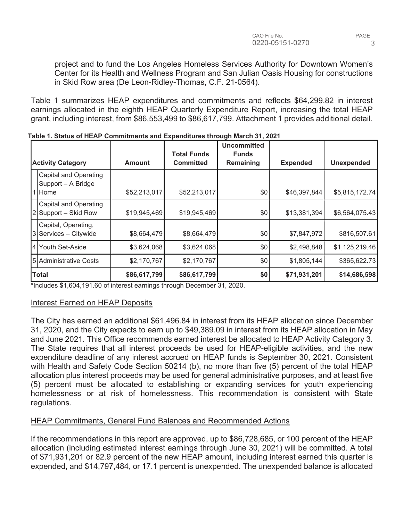PAGE 3

project and to fund the Los Angeles Homeless Services Authority for Downtown Women's Center for its Health and Wellness Program and San Julian Oasis Housing for constructions in Skid Row area (De Leon-Ridley-Thomas, C.F. 21-0564).

Table 1 summarizes HEAP expenditures and commitments and reflects \$64,299.82 in interest earnings allocated in the eighth HEAP Quarterly Expenditure Report, increasing the total HEAP grant, including interest, from \$86,553,499 to \$86,617,799. Attachment 1 provides additional detail.

|                                               |               | <b>Total Funds</b> | <b>Uncommitted</b><br><b>Funds</b> |                 |                   |
|-----------------------------------------------|---------------|--------------------|------------------------------------|-----------------|-------------------|
| <b>Activity Category</b>                      | <b>Amount</b> | <b>Committed</b>   | Remaining                          | <b>Expended</b> | <b>Unexpended</b> |
| Capital and Operating<br>Support - A Bridge   |               |                    |                                    |                 |                   |
| 1 Home                                        | \$52,213,017  | \$52,213,017       | \$0                                | \$46,397,844    | \$5,815,172.74]   |
| Capital and Operating<br>2 Support – Skid Row | \$19,945,469  | \$19,945,469       | \$0                                | \$13,381,394    | \$6,564,075.43    |
| Capital, Operating,<br>3 Services - Citywide  | \$8,664,479   | \$8,664,479        | \$0                                | \$7,847,972     | \$816,507.61      |
| 4 Youth Set-Aside                             | \$3,624,068   | \$3,624,068        | \$0                                | \$2,498,848     | \$1,125,219.46    |
| 5 Administrative Costs                        | \$2,170,767   | \$2,170,767        | \$0                                | \$1,805,144     | \$365,622.73      |
| Total                                         | \$86,617,799  | \$86,617,799       | \$0                                | \$71,931,201    | \$14,686,598      |

**Table 1. Status of HEAP Commitments and Expenditures through March 31, 2021** 

\*Includes \$1,604,191.60 of interest earnings through December 31, 2020.

# Interest Earned on HEAP Deposits

The City has earned an additional \$61,496.84 in interest from its HEAP allocation since December 31, 2020, and the City expects to earn up to \$49,389.09 in interest from its HEAP allocation in May and June 2021. This Office recommends earned interest be allocated to HEAP Activity Category 3. The State requires that all interest proceeds be used for HEAP-eligible activities, and the new expenditure deadline of any interest accrued on HEAP funds is September 30, 2021. Consistent with Health and Safety Code Section 50214 (b), no more than five (5) percent of the total HEAP allocation plus interest proceeds may be used for general administrative purposes, and at least five (5) percent must be allocated to establishing or expanding services for youth experiencing homelessness or at risk of homelessness. This recommendation is consistent with State regulations.

# HEAP Commitments, General Fund Balances and Recommended Actions

If the recommendations in this report are approved, up to \$86,728,685, or 100 percent of the HEAP allocation (including estimated interest earnings through June 30, 2021) will be committed. A total of \$71,931,201 or 82.9 percent of the new HEAP amount, including interest earned this quarter is expended, and \$14,797,484, or 17.1 percent is unexpended. The unexpended balance is allocated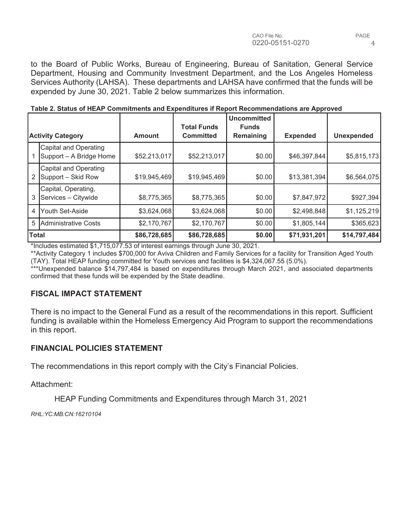to the Board of Public Works, Bureau of Engineering, Bureau of Sanitation, General Service Department, Housing and Community Investment Department, and the Los Angeles Homeless Services Authority (LAHSA). These departments and LAHSA have confirmed that the funds will be expended by June 30, 2021. Table 2 below summarizes this information.

|              |                                                         |               | <b>Total Funds</b> | Uncommitted<br><b>Funds</b> |                 |                   |
|--------------|---------------------------------------------------------|---------------|--------------------|-----------------------------|-----------------|-------------------|
|              | <b>Activity Category</b>                                | <b>Amount</b> | <b>Committed</b>   | Remaining                   | <b>Expended</b> | <b>Unexpended</b> |
|              | <b>Capital and Operating</b><br>Support - A Bridge Home | \$52,213,017  | \$52,213,017       | \$0.00                      | \$46,397,844    | \$5,815,173       |
| 2            | <b>Capital and Operating</b><br>Support - Skid Row      | \$19,945,469  | \$19,945,469       | \$0.00                      | \$13,381,394    | \$6,564,075       |
| 3            | Capital, Operating,<br>Services - Citywide              | \$8,775,365   | \$8,775,365        | \$0.00                      | \$7,847,972     | \$927,394         |
| 4            | <b>IYouth Set-Aside</b>                                 | \$3,624,068]  | \$3,624,068        | \$0.00                      | \$2,498,848     | \$1,125,219       |
| 5            | Administrative Costs                                    | \$2,170,767   | \$2,170,767        | \$0.00                      | \$1,805,144     | \$365,623         |
| <b>Total</b> |                                                         | \$86,728,685  | \$86,728,685       | \$0.00                      | \$71,931,201    | \$14,797,484      |

#### **Table 2. Status of HEAP Commitments and Expenditures if Report Recommendations are Approved**

\*Includes estimated \$1,715,077.53 of interest earnings through June 30, 2021.

\*\*Activity Category 1 includes \$700,000 for Aviva Children and Family Services for a facility for Transition Aged Youth (TAY). Total HEAP funding committed for Youth services and facilities is \$4,324,067.55 (5.0%).

\*\*\*Unexpended balance \$14,797,484 is based on expenditures through March 2021, and associated departments confirmed that these funds will be expended by the State deadline.

# **FISCAL IMPACT STATEMENT**

There is no impact to the General Fund as a result of the recommendations in this report. Sufficient funding is available within the Homeless Emergency Aid Program to support the recommendations in this report.

# **FINANCIAL POLICIES STATEMENT**

The recommendations in this report comply with the City's Financial Policies.

Attachment:

HEAP Funding Commitments and Expenditures through March 31, 2021

*RHL:YC:MB:CN:16210104*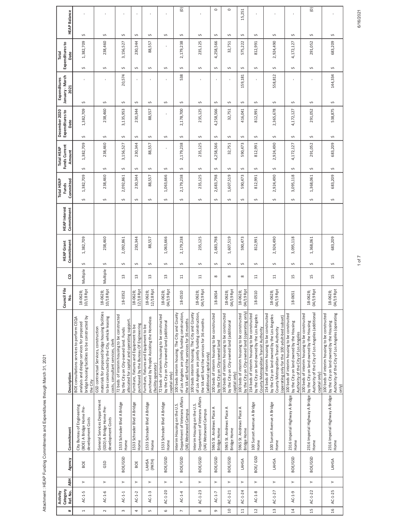| ļ<br>I<br>ı<br>İ<br>I |
|-----------------------|
|                       |
|                       |
| ׇ֚֬֡                  |
| í                     |
| l                     |
|                       |
|                       |
| I                     |
|                       |
|                       |
|                       |
|                       |
|                       |
| l<br>Ï                |
| ׇ֚֬֡֡֡֡֡֡             |
|                       |
| ı                     |
| I                     |
| į                     |
|                       |
|                       |
|                       |
|                       |
|                       |

|                          | Category<br>Activity |            |                 |                                                                                       |                                                                                                                                                                                         | ncil File<br>క్రి                         |               | <b>HEAP Grant</b>           | <b>HEAP</b> Interest | <b>Total HEAP</b><br><b>Funds</b> | Funds Current<br><b>Total HEAP</b> | December 2020<br>Expenditures to | January - March<br>Expenditures |      | Expenditures to<br>Total |                     |
|--------------------------|----------------------|------------|-----------------|---------------------------------------------------------------------------------------|-----------------------------------------------------------------------------------------------------------------------------------------------------------------------------------------|-------------------------------------------|---------------|-----------------------------|----------------------|-----------------------------------|------------------------------------|----------------------------------|---------------------------------|------|--------------------------|---------------------|
| #                        | Ref. No.             | <b>ABH</b> | Agency          | Commitment                                                                            | Description                                                                                                                                                                             | ġ.                                        | 8             | Commitment                  | Commitment           | Committed                         | Amount                             | Date                             | 2021                            | Date |                          | <b>HEAP Balance</b> |
| $\overline{a}$           | $AC-1-5$             | $\succ$    | BOE             | City Bureau of Engineering<br>(BOE) A Bridge Home Pre-<br>development Costs           | bridge housing facilities to be constructed by<br>BOE consultations services to perform CEQA<br>analysis and design services for proposed<br>the City                                   | /18 Rpt<br>:-0628;<br>ង ដ                 | Multiple      | 1,382,709<br>Ş              |                      | 1,382,709<br>Ş                    | 1,382,709<br>Ş                     | 1,382,709<br>$\sim$              | Ş                               | Ş    | Ş<br>1,382,709           |                     |
| $\sim$                   | $AC-1-6$             | $\succ$    | GSD             | General Services Department<br>(GSD) A Bridge Home Pre-<br>development Costs          | materials for proposed bridge housing facilities<br>to be constructed by the City, vehicle leasing<br>GSD contractual Services, construction<br>costs, consultant services, clerk       | 118 Rpt<br>18-0628;<br>'es                | Multiple      | 238,460<br>S                |                      | 238,460<br>$\sim$                 | 238,460<br>Ş                       | 238,460<br>$\sim$                | S                               | Ş    | $\sim$<br>238,460        |                     |
| 3                        | $AC-1-1$             | $\succ$    | BOE/GSD         | 1533 Schrader Blvd A Bridge<br>Home                                                   | 72 beds of interim housing to be constructed<br>allocated for capital and operating support.<br>by the City on City-owned land. Funds                                                   | 18-0352                                   | $\frac{3}{2}$ | 2,092,861<br>$\sim$         |                      | 2,092,861<br>$\sim$               | 3,156,527<br>S                     | 3,135,953<br>$\sim$              | 20,574<br>S                     | Ş    | $\sim$<br>3,156,527      |                     |
| 4                        | $AC-1-2$             | $\succ$    | BOE             | 1533 Schrader Blvd A Bridge<br>Home                                                   | purchased by the Bureau Of Engineering<br>Furniture, fixtures and Equipment to be                                                                                                       | 12/18 Rpt<br>18-0628;                     | $\frac{3}{2}$ | 230,344<br>Ş                |                      | 230,344<br>¢                      | 230,344<br>S                       | 230,344<br>$\sim$                | Š                               | Ş    | $\sim$<br>230,344        |                     |
| LŊ                       | $AC-1-3$             | $\succ$    | (PATH)<br>LAHSA | 1533 Schrader Blvd A Bridge<br>Home                                                   | purchased by People Assisting the Homeless<br>Furniture, fixtures and Equipment to be<br>(facility operator)                                                                            | /18 Rpt<br>3-0628;<br>$\frac{8}{12}$      | $\mathbf{r}$  | 88,557<br>$\sim$            |                      | 88,557<br>$\sim$                  | 88,557<br>S                        | 88,557<br>$\sim$                 | Ş                               | S    | $\sim$<br>88,557         |                     |
| $\circ$                  | $AC - 1 - 20$        | $\succ$    | BOE/GSD         | 1533 Schrader Blvd A Bridge<br>Home                                                   | 72 beds of interim housing to be constructed<br>by the City on City-owned land (additional<br>capital only)                                                                             | 19 Rpt<br>18-0628;<br>04/19 Rpt           | 13            | 1,063,666<br>$\sim$         |                      | 1,063,666<br>Ş                    | Ş                                  | $\sim$                           | Ş                               | Ş    | Ş                        |                     |
| $\overline{\phantom{a}}$ | $AC-1-4$             | $\succ$    | BOE/GSD         | Department of Veterans Affairs<br>Interim Housing on the U.S.<br>(VA) Westwood Campus | of Los Angeles are jointly funding construction,<br>100 beds interim housing. The City and County<br>the VA will fund the services for 36 months                                        | 18-0510                                   | $\Xi$         | 2,179,238<br>$\sim$         |                      | 2,179,238<br>$\sim$               | 2,179,238<br>Ş                     | 2,178,700<br>$\sim$              | 538<br>S                        | Ş    | $\sim$<br>2,179,238      | Θ                   |
| $\infty$                 | $AC-1-23$            | $\succ$    | BOE/GSD         | Department of Veterans Affairs<br>Interim Housing on the U.S.<br>(VA) Westwood Campus | of Los Angeles are jointly funding construction,<br>100 beds interim housing. The City and County<br>the VA will fund the services for 36 months<br>(additional capital only)           | /19 Rpt<br>18-0628;<br>04/19 Rpt          | $\Xi$         | 235,125<br>$\sim$           |                      | 235,125<br>$\sim$                 | 235,125<br>S                       | 235,125<br>$\sim$                | S                               | Ş    | $\sim$<br>235,125        |                     |
| $\sigma$                 | $AC-1-7$             | $\succ$    | BOE/GSD         | 5965 St. Andrews Place A<br>Bridge Home                                               | 100 beds of interim housing to be constructed<br>by the City on City-owned land                                                                                                         | 18-0654                                   | ${}^{\circ}$  | 683,798<br>$\sim$<br>$\sim$ |                      | 2,683,798<br>$\mathcal{L}$        | 4,258,566<br>S                     | 4,258,566<br>$\sim$              | S                               | S    | $\sim$<br>4,258,566      | $\circ$             |
| $\frac{1}{2}$            | AC-1-21              | $\succ$    | BOE/GSD         | 5965 St. Andrews Place A<br>Bridge Home                                               | 100 beds of interim housing to be constructed<br>by the City on City-owned land (additional<br>capital only)                                                                            | /19 Rpt<br>3-0628;<br>$\frac{8}{18}$<br>ड | ${}^{\circ}$  | 1,607,519<br>$\sim$         |                      | 1,607,519<br>$\sim$               | 32,751<br>Ş                        | 32,751<br>$\sim$                 | Ş                               | Ş    | $\sim$<br>32,751         | $\circ$             |
| $11$                     | $AC-1-24$            | $\succ$    | LAHSA           | 5965 St. Andrews Place A<br>Bridge Home                                               | by the City on City-owned land (operating only)<br>100 beds of interim housing to be constructed                                                                                        | 19 Rpt<br>18-0628;<br>ਬੋ                  | $\infty$      | 590,473<br>Ş                |                      | 590,473<br>$\sim$                 | 590,473<br>Ş                       | 416,041<br>$\sim$                | 159,181<br>Ş                    | Ş    | $\sim$<br>575,222        | 15,251              |
| $\overline{12}$          | $AC-1-8$             | $\succ$    | BOE/GSD         | 100 Sunset Avenue A Bridge<br>Home                                                    | 154 beds of interim housing to be constructed<br>by the City on land owned by the Los Angeles<br>County Metropolitan Transit Authority                                                  | 18-0510                                   | $\Xi$         | 812,991<br>$\sim$           |                      | 812,991<br>$\sim$                 | 812,991<br>Ş                       | 812,991<br>$\sim$                | S                               | Ş    | $\sim$<br>812,991        |                     |
| 13                       | $AC-1-27$            | $\succ$    | LAHSA           | 100 Sunset Avenue A Bridge<br>Home                                                    | 154 beds of interim housing to be constructed<br>by the City on land owned by the Los Angeles<br>(operating only for the 100 adult-bed subset)<br>County Metropolitan Transit Authority | /19 Rpt<br>18-0628;<br>04/19 Rpt          | $\Xi$         | 2,924,490<br>$\sim$         |                      | 2,924,490<br>$\sim$               | 2,924,490<br>S                     | 2,365,678<br>$\sim$              | 558,812<br>S                    | S    | $\sim$<br>2,924,490      |                     |
| $\overline{14}$          | AC-1-9               | $\geq$     | BOE/GSD         | 2316 Imperial Highway A Bridge<br>Home                                                | 100 beds of interim housing to be constructed<br>by the City on land owned by the Housing<br>Authority of the City of Los Angeles                                                       | 18-0651                                   | 15            | 3,095,118<br>$\mathcal{L}$  |                      | 3,095,118<br>$\sim$               | 4,172,127<br>S                     | 4,172,127<br>$\sim$              | S                               | S    | $\sim$<br>4,172,127      |                     |
| 15                       | $AC-1-22$            | $\geq$     | BOE/GSD         | 2316 Imperial Highway A Bridge<br>Home                                                | Authority of the City of Los Angeles (additional<br>100 beds of interim housing to be constructed<br>by the City on land owned by the Housing<br>capital only)                          | 19 Rpt<br>18-0628;<br>04/19 Rpt           | 15            | 1,368,061<br>$\sim$         |                      | 1,368,061<br>$\sim$               | 291,052<br>Ş                       | 291,052<br>$\sim$                | Ş                               | Ş    | $\sim$<br>291,052        | $\odot$             |
| $\frac{16}{1}$           | AC-1-25              | $\geq$     | LAHSA           | Home                                                                                  | Authority of the City of Los Angeles (operating<br>100 beds of interim housing to be constructed<br>2316 Imperial Highway A Bridge   by the City on land owned by the Housing<br>only)  | 18-0628;<br>04/19 Rpt                     | 15            | 683,209<br>$\sim$           |                      | 683,209<br>Ş                      | 683,209<br>S                       | 538,875<br>Ş                     | 144,334<br>S                    | S    | Ş<br>683,209             |                     |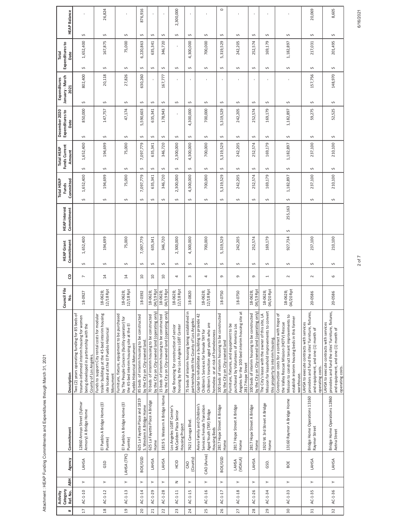| ¢<br>$\frac{1}{2}$<br>ć                                                                                       |
|---------------------------------------------------------------------------------------------------------------|
| i<br>١                                                                                                        |
|                                                                                                               |
| ١<br>5<br>í                                                                                                   |
|                                                                                                               |
| I                                                                                                             |
| l<br>Ï                                                                                                        |
| j<br>ı                                                                                                        |
| l<br>֖֢ׅ֧֦֧֦֧֦֧֦֧֦֧֦֧֧֧֧֦֧֧֧֧֦֧֧֦֧֧֦֧֧֧֧֧֧֧֧֧֧֧֧֧֧֧֧֧֧֚֚֚֚֚֚֚֚֚֚֚֚֚֚֚֡֕֘֡֡֬֝֓֞֡֓֬֓֡֬֓֡֬֓֞֓֬֝֬֬֓֬<br>֧֧֧֜<br>į |
|                                                                                                               |

| Category<br>Ref. No.<br>Activity | <b>ABH</b>     | Agency           | Commitment                                                                                           | Description                                                                                                                                                                                             | ncil File<br>ġ.<br>క్రి                     | 8                        | Commitment<br><b>HEAP Grant</b> | <b>HEAP</b> Interest<br>Commitment | <b>Total HEAP</b><br>Committed<br><b>Funds</b> |   | Funds Current<br>Total HEAP<br>Amount | December 2020<br>Expenditures to<br>Date | January - March<br>Expenditures<br>2021 |                | Expenditures to<br>Total<br>Date | <b>HEAP Balance</b> |
|----------------------------------|----------------|------------------|------------------------------------------------------------------------------------------------------|---------------------------------------------------------------------------------------------------------------------------------------------------------------------------------------------------------|---------------------------------------------|--------------------------|---------------------------------|------------------------------------|------------------------------------------------|---|---------------------------------------|------------------------------------------|-----------------------------------------|----------------|----------------------------------|---------------------|
| $AC-1-10$                        | $\succ$        | LAHSA            | 12860 Arroyo Street (Sylmar<br>Armory) A Bridge Home                                                 | Two (2) years operating funding for 85 beds of<br>trauma-informed interim housing for women<br>being developed in partnership with the<br>County of Los Angeles.                                        | 18-0927                                     | $\overline{\phantom{a}}$ | 1,652,400<br>$\sim$             |                                    | 1,652,400<br>Ş                                 | Ş | 1,652,400                             | 850,000<br>$\sim$                        | 802,400<br>Ş                            | Ş              | 1,652,400                        | Ş                   |
| $AC-1-12$                        | $\succ$        | GSD              | El Pueblo A Bridge Home (El<br>Puente)                                                               | trailer buildings at the 45-bed interim housing<br>Funds to support City rental costs for modular<br>site located at the El Pueblo Historical<br>Monument                                               | 18 Rpt<br>18-0628<br>$\overline{5}$         | $\overline{1}$           | 194,699<br>$\sim$               |                                    | 194,699<br>$\sim$                              | Ş | 194,699                               | 147,757<br>$\sim$                        | 20,118<br>S                             | Ş              | 167,875                          | 26,824<br>$\sim$    |
| $AC-1-13$                        | $\overline{a}$ | LAHSA (TPC)      | El Pueblo A Bridge Home (El<br>Puente)                                                               | Furniture, fixture, equipment to be purchased<br>by The People Concern (facility operator) for<br>the 45-bed interim housing site at the El<br>Pueblo Historical Monument                               | /18 Rpt<br>3-0628;<br><u>ន</u><br>អ         | $\overline{14}$          | 75,000<br>$\sim$                |                                    | 75,000<br>$\sim$                               | S | 75,000                                | 47,174<br>$\sim$                         | 27,826<br>Ş                             | Ş              | 75,000                           | Ş                   |
| $AC-1-14$                        | $\succ$        | BOE/GSD          | 625 La Fayette Place and 1819<br>S. Western A Bridge Home                                            | 85 beds of interim housing to be constructed<br>by the City on City-owned land.                                                                                                                         | 3-0392<br>∺                                 | $\overline{10}$          | 7,097,779<br>$\sim$             |                                    | 7,097,779<br>$\sim$                            | Ş | 7,097,779                             | 5,590,603<br>Ş                           | 630,260<br>Ş                            | Ş              | 6,220,863                        | 876,916<br>$\sim$   |
| AC-1-29                          | $\succ$        | LAHSA            | 625 La Fayette Place A Bridge<br>Home                                                                | by the City on City-owned land (operating only)<br>70 beds of interim housing to be constructed                                                                                                         | /19 Rpt<br>3-0628;<br>$\frac{8}{2}$<br>र्वे | $\overline{10}$          | 635,341<br>$\sim$               |                                    | 635,341<br>$\sim$                              | S | 635,341                               | 635,341<br>$\sim$                        | S                                       | Ş              | 635,341                          | $\sim$              |
| AC-1-28                          | $\succ$        | LAHSA            | 1819 S. Western A Bridge Home                                                                        | by the City on City-owned land (operating only)<br>15 beds of interim housing to be constructed                                                                                                         | 04/19 Rpt<br>3-0628;<br>$\frac{8}{2}$       | $\Xi$                    | 346,720<br>Ş                    |                                    | 346,720<br>Ş                                   | S | 346,720                               | 178,943<br>Ş                             | 167,777<br>Ş                            | Ş              | 346,720                          | $\sim$              |
| $AC-1-11$                        | z              | HCID             | Los Angeles LGBT Center's<br>McCadden Plaza Senior<br>Housing Project                                | housing by the Los Angeles LGBT Center<br>Gap financing for construction of senior                                                                                                                      | /18 Rpt<br>3-0628;<br>$\frac{8}{12}$        | 4                        | 2,300,000<br>$\sim$             |                                    | 2,300,000<br>$\sim$                            | Ş | 2,300,000                             | Ş                                        | Ş                                       | Ş              |                                  | 2,300,000<br>$\sim$ |
| $AC-1-15$                        | $\succ$        | (County)<br>CAO  | 7621 Canoga Blvd.                                                                                    | 75 beds of interim housing being established in<br>partnership with the County of Los Angeles                                                                                                           | 18-0820                                     | $\infty$                 | 4,300,000<br>$\sim$             |                                    | 4,300,000<br>$\sim$                            | Ş | 4,300,000                             | 4,300,000<br>Ş                           | S                                       | Ş              | 4,300,000                        | Ş                   |
| AC-1-16                          | $\succ$        | CAO (Aviva)      | Aviva Family and Children's<br>Services Female Transition<br>Aged Youth (TAY) Bridge<br>Housing Beds | Capital to rehabilitate a building to provide 42<br>Children's transition aged youth who are<br>Children's Services for female TAY for<br>homeless or at risk of homelessness                           | /18 Rpt<br>3-0628;<br>18<br>12,             | 4                        | 700,000<br>$\sim$               |                                    | 700,000<br>$\sim$                              | Ş | 700,000                               | 700,000<br>$\sim$                        | S                                       | $\sim$         | 700,000                          | $\sim$              |
| $AC-1-17$                        | $\succ$        | BOE/GSD          | 2817 Hope Street A Bridge<br>Home                                                                    | 100 beds of interim housing to be constructed<br>by the City on City-owned land                                                                                                                         | 18-0750                                     | G                        | 319,529<br>$\sim$               |                                    | 5,319,529<br>$\sim$                            | Ş | 5,319,529                             | 5,319,529<br>$\sim$                      | Ş                                       | $\mathfrak{O}$ | 5,319,529                        | $\circ$<br>$\sim$   |
| AC-1-18                          | $\succ$        | LAHSA<br>(VOALA) | 2817 Hope Street A Bridge<br>Home                                                                    | Angeles for the 100-bed interim housing site at<br>Furniture, fixtures, and equipment to be<br>purchased by Volunteers of America Los<br>2817 Hope Street                                               | 18-0750                                     | G                        | 242,205<br>$\sim$               |                                    | 242,205<br>$\sim$                              | Ş | 242,205                               | 242,205<br>$\sim$                        | Ş                                       | Ş              | 242,205                          | $\sim$              |
| $AC-1-26$                        | $\succ$        | LAHSA            | 2817 Hope Street A Bridge<br>Home                                                                    | by the City on City-owned land (operating only)<br>100 beds of interim housing to be constructed                                                                                                        | /19 Rpt<br>18-0628;<br>g                    | G                        | 252,574<br>$\sim$               |                                    | 252,574<br>$\sim$                              | S | 252,574                               | 252,574<br>$\sim$                        | S                                       | S              | 252,574                          | $\sim$              |
| $AC-1-34$                        | $\succ$        | GSD.             | 1920 W. 3rd Street A Bridge<br>Home                                                                  | Mission for leasehold improvements to convert<br>The City's lease with the owner of this site, LA<br>this property to interim housing.                                                                  | 20 Rpt<br>$-0628;$<br>$\frac{8}{2}$<br>ਬੋ   | $\overline{ }$           | 169,179<br>$\sim$               |                                    | 169,179<br>S                                   | S | 169,179                               | 169,179<br>$\sim$                        | S                                       | S              | 169,179                          | $\sim$              |
| $AC-1-33$                        | $\geq$         | BOE              | 13160 Raymer A Bridge Home                                                                           | Construction costs for a contract with Hope of<br>Mission to construct tenant improvements to<br>establish interim housing beds in this former<br>the Valley Rescue Mission (HOTV) Rescue<br>warehouse. | /20 Rpt<br>18-0628;<br>04/20 Rpt            | $\sim$                   | 927,734<br>$\sim$               | 255,163<br>Ş                       | 1,182,897<br>Ş                                 | Ş | 1,182,897                             | 1,182,897<br>$\sim$                      | Ş                                       | Ş              | 1,182,897                        | $\sim$              |
| $AC-1-35$                        | $\succ$        | LAHSA            | Bridge Home Operations 13160<br>Raymer Street                                                        | providers and fund the sites' furniture, fixtures,<br>LAHSA to execute contracts with services<br>and equipment, and one (1) month of<br>operating costs.                                               | 20-0586                                     | $\sim$                   | 237,100<br>$\sim$               |                                    | 237,100<br>$\sim$                              | Ş | 237,100                               | 59,275<br>$\sim$                         | 157,756<br>Ş                            | Ş              | 217,031                          | 20,069<br>$\sim$    |
| AC-1-36                          | $\succ$        | LAHSA            | Bridge Home Operations 12860<br>Aetna Street                                                         | providers and fund the sites' furniture, fixtures,<br>LAHSA to execute contracts with services<br>and equipment, and one (1) month of<br>operating costs.                                               | 20-0586                                     | 6                        | 210,100<br>S                    |                                    | 210,100<br>Ş                                   | S | 210,100                               | 52,525<br>Ş                              | 148,970<br>S                            | Ş              | 201,495                          | 8,605<br>S          |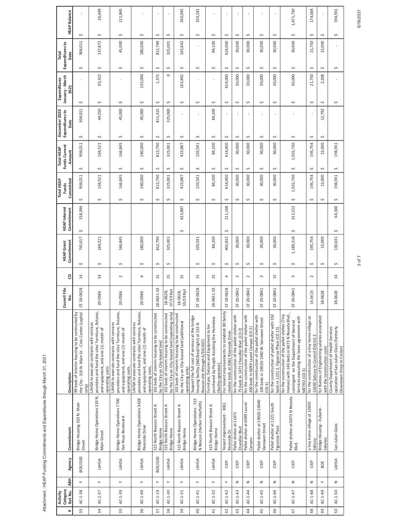| č<br>!<br>l<br>í         |
|--------------------------|
| I<br>í                   |
|                          |
| ׇ֚֬֡<br>١                |
|                          |
| ı                        |
|                          |
| í                        |
| ׇ֚֬֡֡֡֡֡֡<br>I<br>Ž<br>l |
| I<br>ļ                   |
| ֕<br>l<br>ï              |

|                | Category<br>Activity |                       |                   |                                                              |                                                                                                                                                                                                            | Council File                           |                      | <b>HEAP Grant</b>          | <b>HEAP</b> Interest       | <b>Total HEAP</b><br>Funds |        | Funds Current<br><b>Total HEAP</b> | December 2020<br>Expenditures to | January - March<br>Expenditures |        | Expenditures to<br>Total |   |                     |
|----------------|----------------------|-----------------------|-------------------|--------------------------------------------------------------|------------------------------------------------------------------------------------------------------------------------------------------------------------------------------------------------------------|----------------------------------------|----------------------|----------------------------|----------------------------|----------------------------|--------|------------------------------------|----------------------------------|---------------------------------|--------|--------------------------|---|---------------------|
| 33<br>#        | Ref. No.<br>AC-1-38  | <b>ABH</b><br>$\succ$ | BOE/GSD<br>Agency | Bridge Housing 310 N. Main<br>Street<br>Commitment           | 99 beds of interim housing to be contructed by<br>the City - 310 N. Main St. - Civic Center (capital<br>Description<br>only)                                                                               | 18-0628<br>ş.<br>ö                     | 8<br>$\overline{14}$ | 745,617<br>Commitment<br>Ş | 158,394<br>Commitment<br>S | 904,011<br>Committed<br>Ş  | $\sim$ | 904,011<br>Amount                  | 904,011<br>Date<br>Ş             | 2021<br>Ş                       | Ş      | 904,011<br>Date          | Ş | <b>HEAP Balance</b> |
| 34             | $AC-1-37$            | $\succ$               | LAHSA             | Bridge Home Operations 310 N.<br>Main Street                 | providers and fund the sites' furniture, fixtures,<br>LAHSA to execute contracts with services<br>and equipment, and one (1) month of<br>operating costs.                                                  | 20-0586                                | $\overline{1}$       | 164,521<br>Ş               |                            | 164,521<br>Ş               | $\sim$ | 164,521                            | 44,550<br>Ş                      | 93,322<br>Ş                     | $\sim$ | 137,872                  | Ş | 26,649              |
| 35             | $AC-1-39$            | $\succ$               | LAHSA             | Bridge Home Operations 7700<br>Van Nuys Boulevard            | providers and fund the sites' furniture, fixtures,<br>LAHSA to execute contracts with services<br>and equipment, and one (1) month of<br>operating costs.                                                  | 20-0586                                | $\sim$               | 166,845<br>Ş               |                            | 166,845<br>Ş               | $\sim$ | 166,845                            | 45,000<br>S                      | Ş                               | $\sim$ | 45,000                   | Ş | 121,845             |
| 36             | $AC-1-40$            | $\succ$               | LAHSA             | Bridge Home Operations 3428<br>Riverside Drive               | providers and fund the sites' furniture, fixtures,<br>LAHSA to execute contracts with services<br>and equipment, and one (1) month of<br>operating costs.                                                  | 20-0586                                | 4                    | 180,000<br>Ş               |                            | 180,000<br>Ş               | $\sim$ | 180,000                            | 45,000<br>S                      | 135,000<br>S                    | $\sim$ | 180,000                  | S |                     |
| 37             | AC-1-19              | $\succ$               | BOE/GSD           | 515 North Beacon Street A<br>Bridge Home                     | 102 beds of interim housing to be constructed<br>by the City on City-leased land                                                                                                                           | 0651-53<br>$18 -$                      | 15                   | 812,790<br>Ş               |                            | 812,790<br>Ş               | S      | 812,790                            | 811,415<br>Ş                     | 1,375<br>Ş                      | S      | 812,790                  | Ş |                     |
| 38             | $AC-1-30$            | $\succ$               | LAHSA             | 515 North Beacon Street A<br>Bridge Home                     | by the City on City-leased land (operating only)<br>102 beds of interim housing to be constructed                                                                                                          | /19 Rpt<br>8-0628<br>ă<br>$\sigma$     | 15                   | 325,001<br>Ş               |                            | 325,001<br>Ş               | Ş      | 325,001                            | 325,000<br>Ş                     | $\circ$<br>Ş                    | $\sim$ | 325,001                  | Ş |                     |
| 39             | $AC-1-31$            | $\succ$               | LAHSA             | 515 North Beacon Street A<br>Bridge Home                     | 102 beds of interim housing to be constructed<br>by the City on City-leased land (additional<br>operating only)                                                                                            | /19 Rpt<br>18-0628;<br>$\overline{10}$ | 15                   |                            | 423,887<br>$\sim$          | 423,887<br>S               | $\sim$ | 423,887                            | S                                | 163,842<br>S                    | S      | 163,842                  | S | 260,045             |
| $\overline{a}$ | $AC-1-41$            | $\succ$               | LAHSA             | Bridge Home Operations - 515<br>N Beacon (Harbor Interfaith) | Support the full cost of services at the bridge<br>housing facility (\$60/bed/night) at 515 N<br>Beacon site through 6/30/2021                                                                             | 18-0628<br><b>u</b>                    | 15                   | 103,541<br>Ş               |                            | 103,541<br>Ş               | $\sim$ | 103,541                            | Ş                                | Ş                               | $\sim$ |                          | Ş | 103,541             |
| 41             | $AC-1-32$            | $\succ$               | LAHSA             | 515 North Beacon Street A<br>Bridge Home                     | purchased by People Assisting the Homeless<br>Furniture, fixtures and Equipment to be<br>(facility operator)                                                                                               | 0651-53<br>$18 -$                      | 15                   | 84,100<br>Ş                |                            | 84,100<br>Ş                | $\sim$ | 84,100                             | 84,100<br>Ş                      | Ş                               | $\sim$ | 84,100                   | Ş |                     |
| 42             | $AC-1-42$            | $\succ$               | CIEP              | Tenant Improvement - 3061<br>Riverside Dr.                   | For tenant improvements to establish 80 family<br>shelter beds at 3061 Riverside Drive                                                                                                                     | 18-0628<br>ö                           | 4                    | 402,832<br>Ş               | 211,168<br>$\sim$          | 514,000<br>Ş               | Ş      | 614,000                            | Ş                                | 614,000<br>$\sim$               | Ş      | 614,000                  | Ş |                     |
| 43             | $AC-1-43$            | z                     | CIEP              | Pallet shelter at 11471<br>Chandler Blvd                     | for the construction of the pallet shelter with<br>75 beds in 1471 Chandler Blvd. (CD 2)                                                                                                                   | 20-0841<br>ö                           | $\sim$               | 30,000<br>Ş                |                            | 30,000<br>Ş                | Ş      | 30,000                             | Ş                                | 30,000<br>Ş                     | Ş      | 30,000                   | Ş |                     |
| $\ddot{4}$     | $AC-1-44$            | z                     | CIEP              | Pallet shelter at 6099 Laurel<br>Canyon                      | for the construction of the pallet shelter with<br>200 beds in 6099 Laurel Canyon (CD 2)                                                                                                                   | 20-0841<br><b>u</b>                    | $\sim$               | 30,000<br>Ş                |                            | 30,000<br>Ş                | $\sim$ | 30,000                             | S                                | 30,000<br>Ş                     | $\sim$ | 30,000                   | Ş |                     |
| 45             | AC-1-45              | z                     | CIEP              | Pallet shelter at 19020-19040<br>Vanowen Street              | for the construction of the pallet shelter with<br>100 beds in 19020-1940 W. Vanowen Street<br>(CD <sub>3</sub> )                                                                                          | 20-0841<br>ö                           | 3                    | 30,000<br>Ş                |                            | 30,000<br>Ş                | $\sim$ | 30,000                             | S                                | 30,000<br>Ş                     | $\sim$ | 30,000                   | S |                     |
| 46             | AC-1-46              | z                     | CIEP              | Pallet shelter at 1221 South<br>Figueroa Place               | for the construction of pallet shelter with 150<br>beds in 1221 S. Figueroa Place (CD 15)                                                                                                                  | 20-0841<br><b>უ</b>                    | 15                   | 30,000<br>Ş                |                            | 30,000<br>Ş                | $\sim$ | 30,000                             | Ş                                | 30,000<br>Ş                     | $\sim$ | 30,000                   | Ş |                     |
| 47             | AC-1-47              | z                     | CIEP              | Pallet shelter at 6073 N Reseda<br>Blvd.                     | Homes) with 146 beds in 6073 N Reseda Blvd.,<br>for the construction of the pallet shelter (Tiny<br>Services executing the lease agreement with<br>contingent on the Department of General<br>METRO (CD 3) | 20-0841<br>ö                           | 3                    | 1,189,218<br>Ş             | 312,512<br>Ş               | 1,501,730<br>Ş             | Ş      | 1,501,730                          | Ş                                | 30,000<br>Ş                     | $\sim$ | 30,000                   | Ş | 1,471,730           |
| 48             | AC-1-48              | z                     | CIEP              | a tiny home village at 12600<br>Saticoy                      | for the construction of a tiny home village at<br>12600 Saticoy in Council District 2                                                                                                                      | 18-0628                                | $\sim$               | 195,754<br>Ş               |                            | 195,754<br>Ş               | Ş      | 195,754                            | Ş                                | 21,750<br>S                     | Ş      | 21,750                   | Ş | 174,004             |
| 49             | AC-1-49              | $\succ$               | BOE               | Bridge Housing - Eubank<br>Salaries                          | for Bureau of Engineering salaries associated<br>with the construction costs                                                                                                                               | 18-0628                                |                      | 15,000<br>Ş                |                            | 15,000<br>Ş                | $\sim$ | 15,000                             | 12,792<br>Ş                      | 2,208<br>Ş                      | S      | 15,000                   | Ş |                     |
| 50             | AC-1-50              | z                     | LAHSA             | San Julian Oasis                                             | County Department of Health Services<br>operation of San Julian Oasis (formerly<br>Downtown Drop-In Center)                                                                                                | 18-0628                                | 14                   | 130,631<br>S               | 64,300<br>Ş                | 194,931<br>Ş               | Ş      | 194,931                            |                                  | S                               | Ş      |                          | Ş | 194,931             |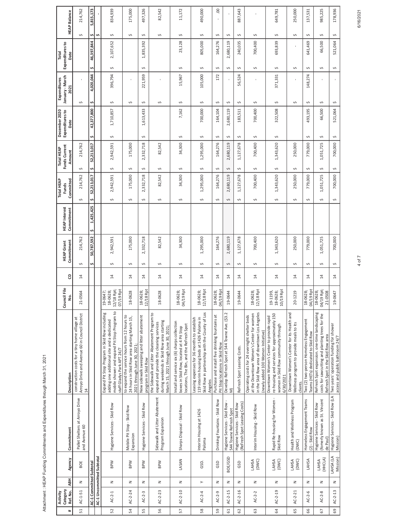Attachment : HEAP Funding Commitments and Expenditures through March 31, 2021

|                 | Category<br>Activity    |                                                                                                       |                           |                                                                          |                                                                                                                                                                                 | Council File                                         |                 | <b>HEAP Grant</b>   | <b>HEAP</b> Interest | <b>Total HEAP</b><br>Funds | Funds Current<br>Total HEAP | December 2020<br>Expenditures to | January - March<br>Expenditures | Expenditures to<br>Total |                  |                     |
|-----------------|-------------------------|-------------------------------------------------------------------------------------------------------|---------------------------|--------------------------------------------------------------------------|---------------------------------------------------------------------------------------------------------------------------------------------------------------------------------|------------------------------------------------------|-----------------|---------------------|----------------------|----------------------------|-----------------------------|----------------------------------|---------------------------------|--------------------------|------------------|---------------------|
| #               | Ref. No.                | <b>ABH</b>                                                                                            | Agency                    | Commitment                                                               | Description                                                                                                                                                                     | g.                                                   | 8               | Commitment          | Commitment           | Committed                  | Amount                      | Date                             | 2021                            | Date                     |                  | <b>HEAP Balance</b> |
| 51              | $AC-1-51$               | z                                                                                                     | BOE                       | Pallet Shelters at Arroyo Drive<br>and Avenue 60                         | Arroyo Drive and Avenue 60 in Council District<br>14<br>construction costs for a tiny home village at                                                                           | 21-0564                                              | $\overline{1}$  | 214,762<br>S        |                      | 214,762<br>S               | 214,762<br>Ş                |                                  | Ş                               |                          | S                | 214,762             |
|                 | AC-1 Committed Subtotal |                                                                                                       |                           |                                                                          |                                                                                                                                                                                 |                                                      |                 | 50,787,592<br>s     | 1,425,425<br>s       | 52,213,017<br>Ş            | 52,213,017<br>s             | 42,377,800<br>s                  | 4,020,044<br>s                  | s                        | ¢<br>46,397,844  | 5,815,173           |
|                 |                         |                                                                                                       | AC-1 Uncommitted Subtotal |                                                                          |                                                                                                                                                                                 |                                                      |                 |                     |                      |                            |                             |                                  |                                 |                          | $\mathbf{v}$     |                     |
| 52              | $AC-2-1$                | $\mathsf{z}% _{T}\!\left( \mathcal{A}_{T}\right) \equiv\mathsf{z}_{T}\!\left( \mathcal{A}_{T}\right)$ | <b>MdB</b>                | Hygiene Services - Skid Row                                              | mobile shower and expand Pit Stop Program to<br>Expand Pit Stop Program in Skid Row including<br>adding one additional site and a dedicated<br>staff Gladys Park APT 24/7       | '18 Rpt;<br>07/19 Rpt<br>19-0647;<br>18-0628;<br>12/ | 14              | 2,942,591<br>$\sim$ |                      | 2,942,591<br>Ş             | 2,942,591<br>Ş              | 1,710,857<br>Ş                   | 396,794<br>Ş                    | Ş                        | Ş<br>2,107,652   | 834,939             |
| 54              | $AC-2-24$               | z                                                                                                     | <b>MdB</b>                | Mobile Pit Stop - Skid Row<br>Expansion                                  | to expand the service hours from 12 hours to<br>24 hours in Skid Row area starting March 15,<br>2021 through June 30, 2021;                                                     | 18-0628                                              | $\overline{14}$ | 175,000<br>$\sim$   |                      | 175,000<br>$\sim$          | 175,000<br>Ş                |                                  | Ş                               |                          | $\sim$           | 175,000             |
| 55              | $AC-2-3$                | z                                                                                                     | <b>MdB</b>                | Hygiene Services - Skid Row                                              | New sidewalk sweeping and litter abatement<br>program in Skid Row                                                                                                               | 118 Rpt<br>18-0628;<br>/z                            | $\overline{1}$  | 2,332,718<br>$\sim$ |                      | 2,332,718<br>$\sim$        | 2,332,718<br>Ş              | 1,613,433<br>$\sim$              | 221,959<br>Š                    | S                        | Ş<br>1,835,392   | 497,326             |
| 56              | $AC-2-23$               | z                                                                                                     | <b>BPW</b>                | Sidewalk and Litter Abatement<br>Program Expansion                       | the Sidewalk and Litter Abatement Program to<br>during weekends in Skid Row area starting<br>expand and provide the cleaning services<br>March 15, 2021 through June 30, 2021;  | 18-0628                                              | 14              | 82,542<br>$\sim$    |                      | 82,542<br>$\sim$           | 82,542<br>Ş                 |                                  | Ş                               |                          | Ş                | 82,542              |
| $\overline{57}$ | $AC - 2 - 10$           | $\geq$                                                                                                | LASAN                     | Sharps Disposal - Skid Row                                               | Install and service six (6) sharps collection<br>locations, The Bin, and the ReFresh Spot<br>boxes in Skid Row, located at 4 Pit Stop                                           | 19 Rpt<br>18-0628;<br>$\widetilde{g}$                | $\overline{1}$  | 34,300<br>$\sim$    |                      | 34,300<br>Ş                | 34,300<br>Ş                 | 7,162<br>Ş                       | 15,967<br>Ş                     | Ş                        | $\sim$<br>23,128 | 11, 172             |
| 58              | $AC-2-4$                | $\succ$                                                                                               | GSD.                      | Interim Housing at 1426<br>Paloma                                        | Skid Row in partnership with the County of Los<br>Leasing expenses for 36 months to establish<br>119 interim housing beds at 1426 Paloma in<br>Angeles                          | 18 Rpt<br>18-0628;<br>12/                            | $\overline{1}$  | 1,295,000<br>$\sim$ |                      | 1,295,000<br>$\sim$        | 1,295,000<br>S              | 700,000<br>Ş                     | 105,000<br>Ş                    | Ş                        | Ş<br>805,000     | 490,000             |
| 59              | AC-2-9                  | z                                                                                                     | GSD                       | Drinking Fountains - Skid Row                                            | Purchase and install five drinking fountains at<br>Pit Stop locations in Skid Row                                                                                               | 19 Rpt<br>18-0628;<br>$\widetilde{g}$                | $\overline{1}$  | 164,276<br>Ş        |                      | 164,276<br>$\sim$          | 164,276<br>Ş                | 164,104<br>S                     | 172<br>Ş                        | Ş                        | Ş<br>164,276     | $\mathbf{S}$        |
| 61              | $AC-2-15$               | z                                                                                                     | BOE/GSD                   | Hygiene Services - Skid Row<br>544 Towne ReFresh Spot                    | Develop ReFresh Spot at 544 Towne Ave. (\$3.2<br>M)                                                                                                                             | $-0644$<br>임                                         | $\overline{14}$ | 2,680,119<br>$\sim$ |                      | 2,680,119<br>$\sim$        | 2,680,119<br>Ş              | 2,680,119<br>Ş                   | Ş                               | Ş                        | Ş<br>2,680,119   |                     |
| 62              | $AC-2-16$               | $\mathsf z$                                                                                           | GSD                       | (ReFresh Spot Leasing Costs)<br>Hygiene Services - Skid Row              | ReFresh Spot Leasing Costs.                                                                                                                                                     | 19-0644                                              | $\overline{1}$  | 1,127,678<br>$\sim$ |                      | 1,127,678<br>S             | 1,127,678<br>Ş              | 183,511<br>$\sim$                | 56,524<br>Ş                     | Ş                        | Ş<br>240,035     | 887,643             |
| 63              | $AC-2-2$                | $\mathsf{z}% _{T}\left( t\right) \in\mathsf{z}_{T}\left( t\right)$                                    | LOWC)                     | Interim Housing - Skid Row                                               | in the Skid Row area of downtown Los Angeles<br>at the Downtown Women's Center for women<br>Operating costs for 24 overnight shelter beds<br>(newly added 100 Women Initiative) | 118 Rpt<br>18-0628;<br>12/18 Rpt                     | $\overline{1}$  | 700,400<br>$\sim$   |                      | 700,400<br>Ş               | 700,400<br>Ş                | 700,400<br>Ş                     | ¢                               | Ş                        | Ş<br>700,400     |                     |
| $\overline{54}$ | $AC-2-19$               | z                                                                                                     | LAHSA<br>(DWC)            | Rapid Re-housing for Women<br>Skid Row                                   | re-housing and services for approximately 150<br>Downtown Women's Center to provide rapid<br>women in Skid Row community through<br>6/30/2021                                   | 19 Rpt<br>18-0628;<br>19-1199,<br>10/                | $\overline{14}$ | 1,343,620<br>$\sim$ |                      | 1,343,620<br>Ş             | 1,343,620<br>Ş              | 322,508<br>Ş                     | 371,331<br>Ş                    | Ş                        | Ş<br>693,839     | 649,781             |
| 65              | $AC-2-21$               | z                                                                                                     | LOWC)                     | Health and Wellness Program<br>(DWC)                                     | Downtown Women's Center for its Health and<br>Wellness program to provide meals to its<br>clients.                                                                              | 20-1219                                              | 14              | 250,000<br>$\sim$   |                      | 250,000<br>$\sim$          | 250,000<br>Ş                |                                  | ٠<br>$\sim$                     | Ş                        | $\sim$           | 250,000             |
| 66              | $AC-2-6$                | $\mathsf z$                                                                                           | LAHSA                     | Homeless Engagement Teams<br>(2) - Skid Row                              | Two (2) two-person Homeless Engagement<br>Teams (HETs) dedicated to Skid Row                                                                                                    | 04/19 Rpt<br>18-0628;                                | 14              | 779,000<br>S        |                      | 779,000<br>Ş               | 779,000<br>Ş                | 493,195<br>S                     | 148,274<br>Ş                    | Ş                        | S<br>641,469     | 137,531             |
| 67              | $AC-2-8$                | z                                                                                                     | (HHCLA)<br>LAHSA          | (fomerly known as St. Vincent<br>Hygiene Services - Skid Row<br>de Paul) | ReFresh Spot expansion. one-time landscaping<br>costs for sawcutting and planting trees for the<br>ReFresh Spot in the Skid Row area                                            | 04/19 Rpt;<br>18-0628;<br>21-0508                    | $\overline{1}$  | 1,051,725<br>$\sim$ |                      | 1,051,725<br>$\sim$        | 1,051,725<br>Ş              | 66,500<br>$\sim$                 | S                               | Ş                        | $\sim$<br>66,500 | 985,225             |
| 69              | $AC-2-13$               | $\mathsf{z}% _{T}\left( t\right) \in\mathsf{z}_{T}\left( t\right)$                                    | LAHSA (LA<br>Mission)     | Hygiene Services - Skid Row (LA<br>Mission)                              | Two years' operation funding for shower<br>access and public bathroom 24/7                                                                                                      | 19-0647                                              | $\overline{1}$  | 700,000<br>S        |                      | 700,000<br>Ş               | 700,000<br>S                | 521,064<br>S                     | Ş                               | S                        | S<br>521,064     | 178,936             |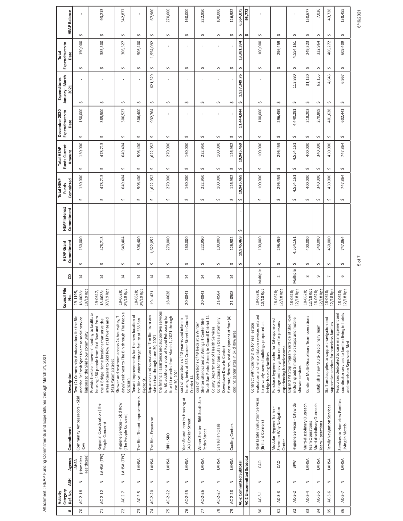Attachment : HEAP Funding Commitments and Expenditures through March 31, 2021

|                 | Category<br>Activity    |            |                                   |                                                               |                                                                                                                                                                                                                  | Council File                                      |                 | <b>HEAP Grant</b> | <b>HEAP</b> Interest | <b>Total HEAP</b><br><b>Funds</b> | Funds Current<br>Total HEAP |              | December 2020<br>Expenditures to | January - March<br>Expenditures |        | Expenditures to<br>Total |   |                     |
|-----------------|-------------------------|------------|-----------------------------------|---------------------------------------------------------------|------------------------------------------------------------------------------------------------------------------------------------------------------------------------------------------------------------------|---------------------------------------------------|-----------------|-------------------|----------------------|-----------------------------------|-----------------------------|--------------|----------------------------------|---------------------------------|--------|--------------------------|---|---------------------|
| #               | Ref. No.                | <b>ABH</b> | Agency                            | Commitment                                                    | Description                                                                                                                                                                                                      | ş.                                                | 8               | Commitment        | Commitment           | Committed                         | Amount                      |              | Date                             | 2021                            |        | Date                     |   | <b>HEAP Balance</b> |
| $\overline{5}$  | $AC-2-18$               | z          | Healthcare)<br>(Homeless<br>LAHSA | Community Ambassadors - Skid<br>Row                           | Two (2) Community Ambassadors for the Bin<br>and the ReFresh Spot to act as social service<br>liaisons to the Skid Row community                                                                                 | 10/19 Rpt<br>19-1195,<br>18-0628;                 | $\overline{14}$ | 150,000<br>Ş      |                      | 150,000<br>Ş                      | Ş                           | Ş<br>150,000 | 150,000                          | Ş                               | Ş      | 150,000                  | Ş |                     |
| 71              | $AC-2-12$               | $\geq$     | LAHSA (TPC)                       | Regional Coordination (The<br>People Concern)                 | Provide flexible "move-in" funding to facilitate<br>housing 150 people from Skid Row and from<br>areas adjacent to Skid Row at El Puente and<br>the A Bridge Home locations that serve the<br>1426 Paloma Street | /19 Rpt<br>19-0647,<br>18-0628;<br>$\overline{5}$ | $\overline{14}$ | 478,713<br>Ş      |                      | 478,713<br>S                      | Ş                           | Ş<br>478,713 | 385,500                          | Ş                               | Ş      | 385,500                  | Ş | 93,213              |
| 72              | $AC-2-7$                | z          | LAHSA (TPC)                       | Hygiene Services - Skid Row<br>(The People Concern)           | days/week next to The Bin through The People<br>Shower and restroom access 24 hours/day, 7<br>Concern                                                                                                            | /19 Rpt<br>18-0628;<br>04/19 Rpt                  | 14              | 649,404<br>Ş      |                      | 649,404<br>Ş                      | Ş                           | Ş<br>649,404 | 306,527                          | Ş                               | $\sim$ | 306,527                  | Ş | 342,877             |
| 73              | $AC-2-5$                | z          | LAHSA                             | The Bin - Tenant Improvements                                 | Tenant improvements for the new location of<br>the Bin voluntary storage facility at 538 San<br>Pedro St                                                                                                         | /19 Rpt<br>18-0628;<br>04/19 Rpt                  | 14              | 506,400<br>Ş      |                      | 506,400<br>Ş                      | Ş                           | Ş<br>506,400 | 506,400                          | Ş                               | Ş      | 506,400                  | Ş |                     |
| 74              | $AC - 2 - 20$           | z          | LAHSA                             | The Bin - Expansion                                           | Expansion and operation of The Bin from one<br>site to two through June 30, 2021                                                                                                                                 | 19-1421                                           | $\overline{1}$  | 1,622,052<br>S    |                      | 1,622,052<br>S                    | 1,622,052<br>S              | Ş            | 932,764                          | 621,329<br>Ş                    | $\sim$ | 1,554,092                | Ş | 67,960              |
| $\overline{75}$ | $AC-2-22$               | z          | LAHSA                             | RRH-SRO                                                       | the financial assistance and supportive services<br>for 60 additional slots of Rapid Rehousing for<br>four (4) months from March 1, 2021 through<br>June 30, 2021                                                | 18-0628                                           | $\overline{14}$ | 270,000<br>Ş      |                      | 270,000<br>Ş                      | Ş                           | S<br>270,000 |                                  | Ş                               | Ş      |                          | Ş | 270,000             |
| 76              | $AC - 2 - 25$           | z          | LAHSA                             | Year-Round Interim Housing at<br>543 Crocker Street           | housing beds at 543 Crocker Street in Council<br>cost of operations of 40 year-round interim<br>District 14                                                                                                      | 20-0841                                           | 14              | 160,000<br>Ş      |                      | 160,000<br>Ş                      | Ş                           | Ş<br>160,000 |                                  | Ş                               | Ş      |                          | Ş | 160,000             |
| $\overline{7}$  | $AC - 2 - 26$           | z          | LAHSA                             | Winter Shelter - 566 South San<br>Pedro Street                | South San Pedro Street; in Council District 14<br>Shelter site located at Weingart Center 566<br>cost of operations of 49 beds at a Winter                                                                       | 20-0841                                           | $\overline{14}$ | 222,950<br>Ş      |                      | 222,950<br>Ş                      | Ş                           | Ş<br>222,950 |                                  | Ş                               | Ş      |                          | Ş | 222,950             |
| 78              | $AC - 2 - 27$           | z          | LAHSA                             | San Julian Oasis                                              | Constructions for San Julian Oasis (formerly<br>County Department of Health Services<br>Downtown Drop-In Center)                                                                                                 | $-0564$<br>ಸ                                      | $\overline{14}$ | 100,000<br>Ş      |                      | 100,000<br>Ş                      | Ş                           | Ş<br>100,000 |                                  | Ş                               | S      |                          | Ş | 100,000             |
| 79              | $AC - 2 - 28$           | z          | LAHSA                             | Cooling Centers                                               | furniture, fixtures, and equipment at four (4)<br>cooling center sites in Skid Row area                                                                                                                          | $-0508$<br>ಸ                                      | $\overline{1}$  | 126,982<br>S      |                      | 126,982<br>S                      | S                           | Ş<br>126,982 |                                  | Ş                               | Ş      |                          | Ş | 126,982             |
|                 | AC-2 Committed Subtotal |            |                                   |                                                               |                                                                                                                                                                                                                  |                                                   |                 | 19,945,469<br>s   | s                    | 19,945,469<br>s                   | 19,945,469<br>Ş             | s            | 11,444,044                       | 1,937,349.76<br>s               | S      | 13,381,394               | s | 6,564,075           |
|                 |                         |            | AC-2 Uncommitted Subtotal         |                                                               |                                                                                                                                                                                                                  |                                                   |                 |                   |                      |                                   |                             |              |                                  |                                 |        |                          | S | 95,772              |
| 80              | $AC-3-1$                | z          | CAO                               | Real Estate Evaluation Services<br>(Brilliant Corners)        | evaluation and rehabilitation services related<br>to privately owned buildings proposed as<br>Contract with County DHS for real estate<br>bridge housing facilities                                              | 18-0628;<br>10/18 Rpt                             | Multiple        | 100,000<br>Ş      |                      | 100,000<br>Ş                      | Ş                           | Ş<br>100,000 | 100,000                          | Ş                               | S      | 100,000                  | S |                     |
| $\overline{81}$ | $AC-3-3$                | z          | CAO                               | Modular Hygiene Trailer -<br>Sherman Way Navigation<br>Center | Purchase hygiene trailer for City-sponsored<br>storage and navigation center for persons<br>experiencing homelessness                                                                                            | 12/18 Rpt<br>18-0628;                             | $\sim$          | 296,459<br>Ş      |                      | 296,459<br>Ş                      | $\sim$                      | Ş<br>296,459 | 296,459                          | Ş                               | $\sim$ | 296,459                  | Ş |                     |
| 82              | $AC-3-2$                | z          | <b>MdB</b>                        | Hygiene Services - Citywide                                   | Expand Pit Stop Program outside of Skid Row,<br>including add 5 mobile pit stops and mobile<br>shower services                                                                                                   | 12/18 Rpt<br>18-0628;                             | Multiple        | 4,554,161<br>Ş    |                      | 4,554,161<br>S                    | 4,554,161<br>Ş              | Ş            | 4,440,281                        | 113,880<br>Ş                    | $\sim$ | 4,554,161                | Ş |                     |
| 83              | $AC-3-4$                | z          | LAHSA                             | Multi-disciplinary Outreach<br>Team Operations                | Continue Multi-Disciplinary Team operations                                                                                                                                                                      | 12/18 Rpt<br>18-0628;                             | $\infty$        | 400,000<br>Ş      |                      | 400,000<br>Ş                      | Ş                           | Ş<br>400,000 | 218,203                          | 31,120<br>Ş                     | Ş      | 249,323                  | Ş | 150,677             |
| 84              | $AC-3-5$                | z          | LAHSA                             | Multi-disciplinary Outreach<br>Team Operations                | Establish a new Multi-Disciplinary Team                                                                                                                                                                          | 12/18 Rpt<br>18-0628;                             | G               | 340,000<br>Ş      |                      | 340,000<br>Ş                      | Ş                           | Ş<br>340,000 | 270,809                          | 62,155<br>Ş                     | $\sim$ | 332,964                  | Ş | 7,036               |
| 85              | $AC-3-6$                | z          | LAHSA                             | Family Navigation Services                                    | Staff and supplies to support navigation and<br>supportive services for homeless families                                                                                                                        | 12/18 Rpt<br>18-0628;                             | $\overline{ }$  | 450,000<br>Ş      |                      | 450,000<br>Ş                      | Ş                           | Ş<br>450,000 | 401,628                          | 4,645<br>Ş                      | S      | 406,272                  | Ş | 43,728              |
| 86              | $AC-3-7$                | z          | LAHSA                             | Services to Homeless Families<br>Living in Motels             | coordinator services to families living in hotels<br>Resources dedicated to case management and<br>and motels on Sepulveda Blvd                                                                                  | $12/18$ Rpt<br>18-0628;                           | 6               | 747,864<br>Ş      |                      | 747,864<br>S                      | S                           | S<br>747,864 | 602,441                          | 6,967<br>Ş                      | S      | 609,409                  | Ş | 138,455             |

5 of 7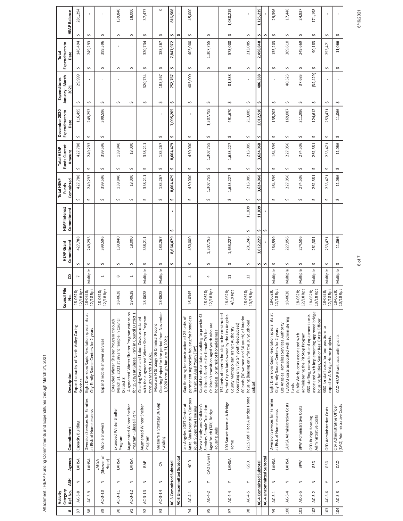Attachment : HEAP Funding Commitments and Expenditures through March 31, 2021

| Total         |                                    | <b>HEAP Balance</b><br>Expenditures to<br>Date     | 281,294<br>$\sim$<br>146,494<br>s                                                         | Ş<br>249,293<br>Ş             | f,<br>$\sim$<br>399,596<br>s                                                                        | 139,840<br>$\sim$<br>S                                                                           | 18,000<br>$\sim$<br>Ş                                                                                             | 37,477<br>$\sim$<br>320,734<br>Ş                                                                                          | $\circ$<br>Ş<br>183,267<br>S | 816,508<br>¢<br>7,847,972<br>Ş |                                                                                                                           | 45,000<br>$\sim$<br>405,000<br>Ş                                                                                                                                              | Ş<br>1,307,755<br>Ş                                                                                                                                                                | 1,080,219<br>Ş<br>573,008<br>Ş                                                                      | $\mathbf{I}$<br>$\sim$<br>213,085<br>Ş | 1,125,219<br>s<br>2,498,848<br>s | $\sim$                                                                                    | 29,396<br>$\mathcal{L}$<br>135,203<br>Ş                                                         | 17,446<br>$\sim$<br>209,610<br>Ş                                         | 24,837<br>$\sim$<br>249,669<br>Ş             | 171,198<br>Ş<br>90,183<br>S                                                                    |
|---------------|------------------------------------|----------------------------------------------------|-------------------------------------------------------------------------------------------|-------------------------------|-----------------------------------------------------------------------------------------------------|--------------------------------------------------------------------------------------------------|-------------------------------------------------------------------------------------------------------------------|---------------------------------------------------------------------------------------------------------------------------|------------------------------|--------------------------------|---------------------------------------------------------------------------------------------------------------------------|-------------------------------------------------------------------------------------------------------------------------------------------------------------------------------|------------------------------------------------------------------------------------------------------------------------------------------------------------------------------------|-----------------------------------------------------------------------------------------------------|----------------------------------------|----------------------------------|-------------------------------------------------------------------------------------------|-------------------------------------------------------------------------------------------------|--------------------------------------------------------------------------|----------------------------------------------|------------------------------------------------------------------------------------------------|
| Expenditures  | January - March<br>2021            | 29,999                                             |                                                                                           |                               |                                                                                                     |                                                                                                  | 320,734                                                                                                           | 183,267                                                                                                                   | 752,767                      |                                | 405,000                                                                                                                   |                                                                                                                                                                               | 81,338                                                                                                                                                                             | $\mathbf{I}$                                                                                        | 486,338                                |                                  |                                                                                           | 40,523                                                                                          | 37,683                                                                   |                                              | (34, 429)                                                                                      |
| December 2020 | Expenditures to<br>Date            | Ş<br>116,495<br>Ş                                  | $\hat{\phantom{a}}$<br>249,293<br>Ş                                                       | Ş<br>399,596<br>Ş             | S                                                                                                   | Ş                                                                                                | Ş                                                                                                                 | Ş                                                                                                                         | Ş<br>7,095,205<br>Ş          |                                | Ş<br>Ş                                                                                                                    | Ş<br>1,307,755<br>Ş                                                                                                                                                           | Ş<br>491,670<br>S                                                                                                                                                                  | Ş<br>213,085<br>Ş                                                                                   | s<br>2,012,510<br>s                    |                                  | S<br>135,203<br>$\sim$                                                                    | Ş<br>169,087<br>Ş                                                                               | $\hat{\phantom{a}}$<br>211,986<br>$\sim$                                 |                                              | S<br>124,612<br>Ş                                                                              |
| Total HEAP    | Funds Current<br>Amount            | 427,788<br>Ş                                       | 249,293<br>¢                                                                              | 399,596<br>s                  | 139,840<br>S                                                                                        | 18,000<br>Ş                                                                                      | 358,211<br>Ş                                                                                                      | Ş<br>183,267<br>Ş                                                                                                         | 8,664,479<br>Ş               |                                | 450,000<br>Ş                                                                                                              | 1,307,755<br>Ş                                                                                                                                                                | 1,653,227<br>Ş                                                                                                                                                                     | 213,085<br>Ş                                                                                        | 3,624,068<br>s                         |                                  | 164,599<br>Ş                                                                              | 227,056<br>Ş                                                                                    | 274,506<br>Ş                                                             |                                              | 261,381<br>S                                                                                   |
| Total HEAP    | Committed<br>Funds                 | 427,788<br>Ş                                       | 249,293<br>$\sim$                                                                         | 399,596<br>$\sim$             | 139,840<br>S                                                                                        | 18,000<br>$\sim$                                                                                 | 358,211<br>$\sim$                                                                                                 | 183,267<br>$\hat{\mathbf{v}}$                                                                                             | 8,664,479<br>\$              |                                | 450,000<br>$\sim$                                                                                                         | 1,307,755<br>Ş                                                                                                                                                                | 1,653,227<br>S                                                                                                                                                                     | 213,085<br>S                                                                                        | 3,624,068<br>s                         |                                  | 164,599<br>$\sim$                                                                         | 227,056<br>S                                                                                    | 274,506<br>$\sim$                                                        |                                              | 261,381<br>$\sim$                                                                              |
|               | <b>HEAP</b> Interest<br>Commitment |                                                    |                                                                                           |                               |                                                                                                     |                                                                                                  |                                                                                                                   |                                                                                                                           | S                            |                                |                                                                                                                           |                                                                                                                                                                               |                                                                                                                                                                                    | 11,839<br>S                                                                                         | 11,839<br>s                            | Ş                                |                                                                                           |                                                                                                 |                                                                          |                                              |                                                                                                |
|               | Commitment<br><b>HEAP Grant</b>    | 427,788<br>$\sim$                                  | 249,293<br>Ş                                                                              | 399,596<br>$\sim$             | 139,840<br>$\sim$                                                                                   | 18,000<br>$\sim$                                                                                 | 358,211<br>Ş                                                                                                      | 183,267<br>Ş                                                                                                              | 8,664,479<br>Ş               |                                | 450,000<br>$\sim$                                                                                                         | 1,307,755<br>Ş                                                                                                                                                                | 1,653,227<br>S                                                                                                                                                                     | 201,246<br>$\sim$                                                                                   | 3,612,229<br>s                         | Ś                                | 164,599<br>$\mathcal{L}$                                                                  | 227,056<br>$\sim$                                                                               | 274,506<br>$\sim$                                                        |                                              | 261,381<br>S                                                                                   |
|               | 8                                  |                                                    | Multiple                                                                                  | $\overline{ }$                | ${}^{\circ}$                                                                                        | $\overline{\phantom{0}}$                                                                         | Multiple                                                                                                          | Multiple                                                                                                                  |                              |                                | 4                                                                                                                         | 4                                                                                                                                                                             | $\Xi$                                                                                                                                                                              | $\mathfrak{u}$                                                                                      |                                        |                                  | Multiple                                                                                  | Multiple                                                                                        | Multiple                                                                 |                                              | Multiple                                                                                       |
|               | Council File<br>g.                 | 18 Rpt<br>18-0628;<br>12/                          | 18 Rpt<br>18-0628;<br>12/                                                                 | 18 Rpt<br>18-0628;<br>12/     | $-0628$<br>$\frac{8}{3}$                                                                            | -0628<br>$\overline{18}$                                                                         | -0628<br>$\frac{8}{3}$                                                                                            | $-0628$<br>$\overline{18}$                                                                                                |                              |                                | 16-0345                                                                                                                   | 18 Rpt<br>18-0628<br>12/                                                                                                                                                      | $4/19$ Rpt<br>18-0628;                                                                                                                                                             | 10/19 Rpt<br>18-0628;                                                                               |                                        |                                  | 18 Rpt<br>18-0628;<br>$\overline{2}$                                                      | $-0628$<br>$\frac{8}{3}$                                                                        | 18 Rpt<br>18-0628;<br>12/                                                | 18-0628;                                     | 10/18 Rpt                                                                                      |
|               | Description                        | Expand capacity of North Valley Caring<br>Services | Eight Diversion/Rapid Resolution specialists at<br>City Family Source Centers for 2 years | Expand mobile shower services | March 31, 2021 at Bryant Temple in Council<br>Extended Winter Shelter Program through<br>District 8 | Augmented Winter Shelter Program extension<br>for 15 days at Glassell Park in Council District 1 | with the augmented Winter Shelter Program<br>Cleaning Service and Labor Costs associated<br>through March 31,2021 | Clearing Project for the period from November<br>Measure H Strategy D6 Criminal Record<br>1,2020 through January 31,2021; |                              |                                | permanent supportive housing for homeless<br>Gap financing for construction of 25 units of<br>Transition Aged Youth (TAY) | Capital to rehabilitate a building to provide 42<br>Children's transition aged youth who are<br>Children's Services for female TAY for<br>homeless or at risk of homelessness | 154 beds of interim housing to be constructed<br>by the City on land owned by the Los Angeles<br>(operating only for 54 youth-bed subset)<br>County Metropolitan Transit Authority | 60 beds (30 women and 30 youth) of interim<br>housing (leasing only for the 30 youth-bed<br>subset) |                                        |                                  | Eight Diversion/Rapid Resolution specialists at<br>City Family Source Centers for 2 years | (LAHSA) costs associated with administering<br>Los Angeles Homeless Services Authority<br>funds | Public Works costs associated with<br>administering the Pit Stop Program | GSD staffing, consultant and equipment costs | associated with implementing approved bridge<br>housing facilities, Senior Real Estate Officer |
|               | Commitment                         | Capacity Building                                  | Diversion Services for Families<br>at Risk of Homelessness                                | Mobile Showers                | Extended Winter Shelter<br>Program                                                                  | Augmented Winter Shelter<br>Program - Glassell Park                                              | Augmented Winter Shelter<br>Program                                                                               | Measure H Strategy D6 Gap<br>Funding                                                                                      |                              |                                | Anita May Rosenstein Campus<br>Los Angeles LGBT Center at<br>Youth Supportive Housing                                     | Aviva Family and Children's<br>Services Female Transition<br>Aged Youth (TAY) Bridge<br>Housing Beds                                                                          | 100 Sunset Avenue A Bridge<br>Home                                                                                                                                                 | 1215 Lodi Place A Bridge Home                                                                       |                                        |                                  | Diversion Services for Families<br>at Risk of Homelessness                                | LAHSA Administrative Costs                                                                      | BPW Administrative Costs                                                 | GSD Bridge Housing                           | Administrative Costs                                                                           |
|               | Agency                             | LAHSA                                              | LAHSA                                                                                     | (Shower of<br>Hope)<br>LAHSA  | LAHSA                                                                                               | LAHSA                                                                                            | RAP                                                                                                               | $\Im$                                                                                                                     |                              | AC-3 Uncommitted Subtotal      | ЭЭ                                                                                                                        | CAO (Aviva)                                                                                                                                                                   | LAHSA                                                                                                                                                                              | GSD.                                                                                                |                                        | AC-4 Uncommitted Subtotal        | LAHSA                                                                                     | LAHSA                                                                                           | <b>BPW</b>                                                               |                                              | GSD                                                                                            |
|               | <b>ABH</b>                         | z                                                  | z                                                                                         | z                             | z                                                                                                   | z                                                                                                | z                                                                                                                 | z                                                                                                                         | AC-3 Committed Subtotal      |                                | z                                                                                                                         | $\succ$                                                                                                                                                                       | $\succ$                                                                                                                                                                            | $\succ$                                                                                             | AC-4 Committed Subtotal                |                                  | $\mathsf z$                                                                               | z                                                                                               | z                                                                        | z                                            |                                                                                                |
| Activity      | Category<br>Ref. No.               | $AC-3-8$                                           | $AC-3-9$                                                                                  | $AC-3-10$                     | $AC-3-11$                                                                                           | $AC-3-12$                                                                                        | $AC-3-13$                                                                                                         | AC-3-14                                                                                                                   |                              |                                | $AC-4-1$                                                                                                                  | $AC-4-2$                                                                                                                                                                      | $AC-4-4$                                                                                                                                                                           | $AC-4-5$                                                                                            |                                        |                                  | $AC-5-1$                                                                                  | $AC-5-4$                                                                                        | AC-5-5                                                                   | $AC-5-2$                                     |                                                                                                |
|               | #                                  | 28                                                 | 88                                                                                        | $\overline{89}$               | $\frac{1}{90}$                                                                                      | $\overline{56}$                                                                                  | 92                                                                                                                | $\overline{93}$                                                                                                           |                              |                                | $\overline{5}$                                                                                                            | $\overline{95}$                                                                                                                                                               | $\overline{5}$                                                                                                                                                                     | $\overline{98}$                                                                                     |                                        |                                  | 99                                                                                        | $\overline{100}$                                                                                | 101                                                                      | 102                                          |                                                                                                |